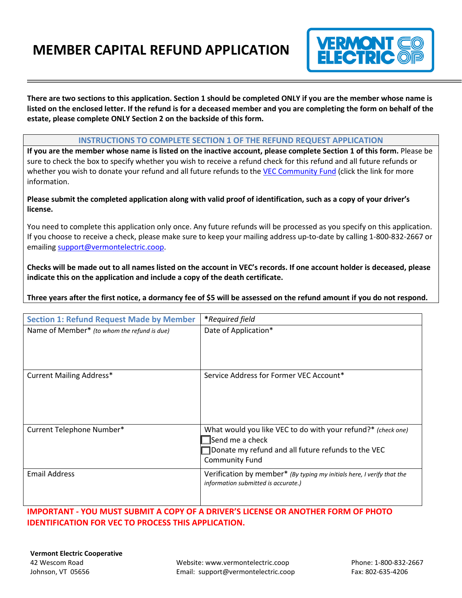# **MEMBER CAPITAL REFUND APPLICATION**



**There are two sections to this application. Section 1 should be completed ONLY if you are the member whose name is listed on the enclosed letter. If the refund is for a deceased member and you are completing the form on behalf of the estate, please complete ONLY Section 2 on the backside of this form.** 

#### **INSTRUCTIONS TO COMPLETE SECTION 1 OF THE REFUND REQUEST APPLICATION**

**If you are the member whose name is listed on the inactive account, please complete Section 1 of this form.** Please be sure to check the box to specify whether you wish to receive a refund check for this refund and all future refunds or whether you wish to donate your refund and all future refunds to th[e VEC Community Fund](https://vermontelectric.coop/community-fund) (click the link for more information.

#### **Please submit the completed application along with valid proof of identification, such as a copy of your driver's license.**

You need to complete this application only once. Any future refunds will be processed as you specify on this application. If you choose to receive a check, please make sure to keep your mailing address up-to-date by calling 1-800-832-2667 or emailin[g support@vermontelectric.coop.](mailto:support@vermontelectric.coop)

**Checks will be made out to all names listed on the account in VEC's records. If one account holder is deceased, please indicate this on the application and include a copy of the death certificate.**

#### **Three years after the first notice, a dormancy fee of \$5 will be assessed on the refund amount if you do not respond.**

| <b>Section 1: Refund Request Made by Member</b> | <i>*Required field</i>                                                                                                                                         |
|-------------------------------------------------|----------------------------------------------------------------------------------------------------------------------------------------------------------------|
| Name of Member* (to whom the refund is due)     | Date of Application*                                                                                                                                           |
| <b>Current Mailing Address*</b>                 | Service Address for Former VEC Account*                                                                                                                        |
| Current Telephone Number*                       | What would you like VEC to do with your refund?* (check one)<br>Send me a check<br>Donate my refund and all future refunds to the VEC<br><b>Community Fund</b> |
| <b>Email Address</b>                            | Verification by member* (By typing my initials here, I verify that the<br>information submitted is accurate.)                                                  |

### **IMPORTANT - YOU MUST SUBMIT A COPY OF A DRIVER'S LICENSE OR ANOTHER FORM OF PHOTO IDENTIFICATION FOR VEC TO PROCESS THIS APPLICATION.**